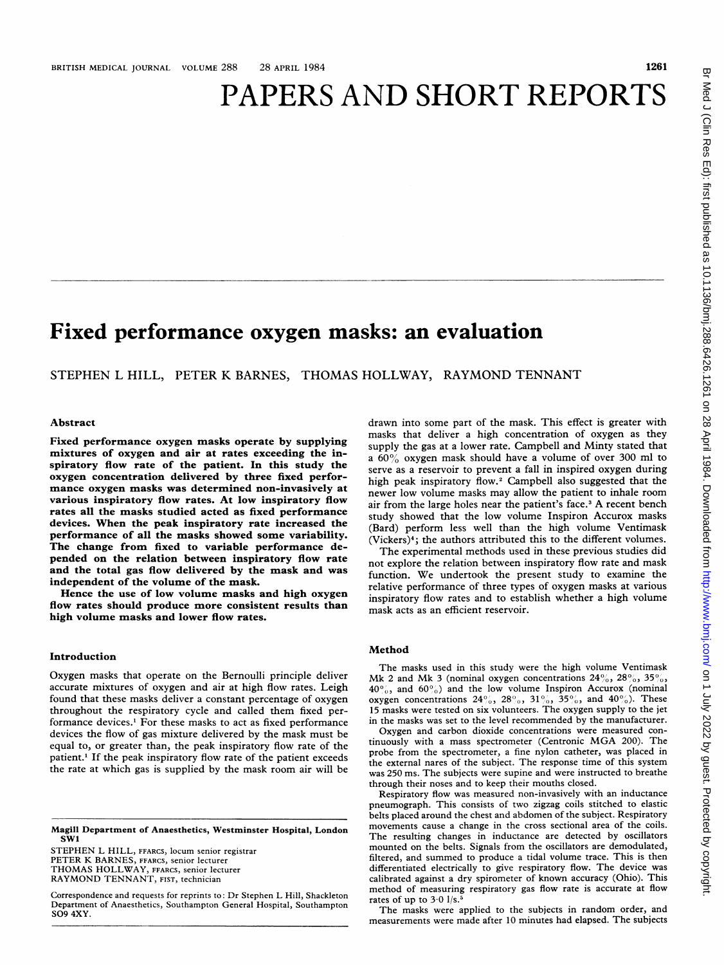# PAPERS AND SHORT REPORTS

# Fixed performance oxygen masks: an evaluation

STEPHEN L HILL, PETER K BARNES, THOMAS HOLLWAY, RAYMOND TENNANT

# Abstract

Fixed performance oxygen masks operate by supplying mixtures of oxygen and air at rates exceeding the inspiratory flow rate of the patient. In this study the oxygen concentration delivered by three fixed performance oxygen masks was determined non-invasively at various inspiratory flow rates. At low inspiratory flow rates all the masks studied acted as fixed performance devices. When the peak inspiratory rate increased the performance of all the masks showed some variability. The change from fixed to variable performance depended on the relation between inspiratory flow rate and the total gas flow delivered by the mask and was independent of the volume of the mask.

Hence the use of low volume masks and high oxygen flow rates should produce more consistent results than high volume masks and lower flow rates.

#### Introduction

Oxygen masks that operate on the Bernoulli principle deliver accurate mixtures of oxygen and air at high flow rates. Leigh found that these masks deliver a constant percentage of oxygen throughout the respiratory cycle and called them fixed performance devices.1 For these masks to act as fixed performance devices the flow of gas mixture delivered by the mask must be equal to, or greater than, the peak inspiratory flow rate of the patient.<sup>1</sup> If the peak inspiratory flow rate of the patient exceeds the rate at which gas is supplied by the mask room air will be

Magill Department of Anaesthetics, Westminster Hospital, London SW'

STEPHEN L HILL, FFARCS, locum senior registrar PETER K BARNES, FFARCS, senior lecturer THOMAS HOLLWAY, FFARCS, senior lecturer RAYMOND TENNANT, FIST, technician

Correspondence and requests for reprints to: Dr Stephen L Hill, Shackleton Department of Anaesthetics, Southampton General Hospital, Southampton S09 4XY.

drawn into some part of the mask. This effect is greater with masks that deliver a high concentration of oxygen as they supply the gas at a lower rate. Campbell and Minty stated that <sup>a</sup> 600% oxygen mask should have <sup>a</sup> volume of over 300 ml to serve as a reservoir to prevent a fall in inspired oxygen during high peak inspiratory flow.2 Campbell also suggested that the newer low volume masks may allow the patient to inhale room air from the large holes near the patient's face.<sup>3</sup> A recent bench study showed that the low volume Inspiron Accurox masks (Bard) perform less well than the high volume Ventimask (Vickers)4; the authors attributed this to the different volumes.

The experimental methods used in these previous studies did not explore the relation between inspiratory flow rate and mask function. We undertook the present study to examine the relative performance of three types of oxygen masks at various inspiratory flow rates and to establish whether a high volume mask acts as an efficient reservoir.

#### Method

The masks used in this study were the high volume Ventimask Mk 2 and Mk 3 (nominal oxygen concentrations  $24\%$ ,  $28\%$ ,  $35\%$ ,  $40\%$ , and  $60\%$ ) and the low volume Inspiron Accurox (nominal oxygen concentrations  $24\%$ ,  $28\%$ ,  $31\%$ ,  $35\%$ , and  $40\%$ ). These 15 masks were tested on six volunteers. The oxygen supply to the jet in the masks was set to the level recommended by the manufacturer.

Oxygen and carbon dioxide concentrations were measured continuously with <sup>a</sup> mass spectrometer (Centronic MGA 200). The probe from the spectrometer, <sup>a</sup> fine nylon catheter, was placed in the external nares of the subject. The response time of this system was 250 ms. The subjects were supine and were instructed to breathe through their noses and to keep their mouths closed.

Respiratory flow was measured non-invasively with an inductance pneumograph. This consists of two zigzag coils stitched to elastic belts placed around the chest and abdomen of the subject. Respiratory movements cause a change in the cross sectional area of the coils. The resulting changes in inductance are detected by oscillators mounted on the belts. Signals from the oscillators are demodulated, filtered, and summed to produce <sup>a</sup> tidal volume trace. This is then differentiated electrically to give respiratory flow. The device was calibrated against <sup>a</sup> dry spirometer of known accuracy (Ohio). This method of measuring respiratory gas flow rate is accurate at flow rates of up to  $3.0$  l/s.<sup>5</sup>

The masks were applied to the subjects in random order, and measurements were made after <sup>10</sup> minutes had elapsed. The subjects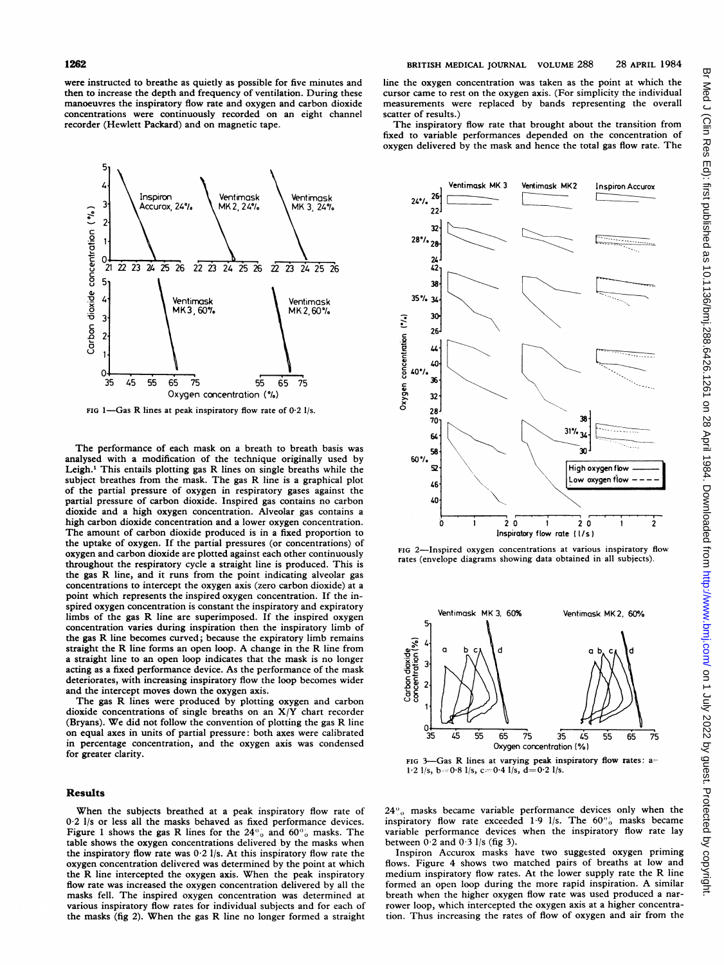were instructed to breathe as quietly as possible for five minutes and then to increase the depth and frequency of ventilation. During these manoeuvres the inspiratory flow rate and oxygen and carbon dioxide concentrations were continuously recorded on an eight channel recorder (Hewlett Packard) and on magnetic tape.



FIG 1-Gas R lines at peak inspiratory flow rate of  $0.2$  l/s.

The performance of each mask on a breath to breath basis was analysed with a modification of the technique originally used by Leigh.<sup>1</sup> This entails plotting gas R lines on single breaths while the subject breathes from the mask. The gas R line is <sup>a</sup> graphical plot of the partial pressure of oxygen in respiratory gases against the partial pressure of carbon dioxide. Inspired gas contains no carbon dioxide and a high oxygen concentration. Alveolar gas contains a high carbon dioxide concentration and a lower oxygen concentration. The amount of carbon dioxide produced is in <sup>a</sup> fixed proportion to the uptake of oxygen. If the partial pressures (or concentrations) of oxygen and carbon dioxide are plotted against each other continuously throughout the respiratory cycle a straight line is produced. This is the gas R line, and it runs from the point indicating alveolar gas concentrations to intercept the oxygen axis (zero carbon dioxide) at a point which represents the inspired oxygen concentration. If the inspired oxygen concentration is constant the inspiratory and expiratory limbs of the gas R line are superimposed. If the inspired oxygen concentration varies during inspiration then the inspiratory limb of the gas R line becomes curved; because the expiratory limb remains straight the R line forms an open loop. A change in the R line from a straight line to an open loop indicates that the mask is no longer acting as a fixed performance device. As the performance of the mask deteriorates, with increasing inspiratory flow the loop becomes wider and the intercept moves down the oxygen axis.

The gas R lines were produced by plotting oxygen and carbon dioxide concentrations of single breaths on an X/Y chart recorder (Bryans). We did not follow the convention of plotting the gas R line on equal axes in units of partial pressure: both axes were calibrated in percentage concentration, and the oxygen axis was condensed for greater clarity.

#### Results

When the subjects breathed at a peak inspiratory flow rate of 0-2 1/s or less all the masks behaved as fixed performance devices. Figure 1 shows the gas R lines for the  $24\%$  and  $60\%$  masks. The table shows the oxygen concentrations delivered by the masks when the inspiratory flow rate was  $0.2$  l/s. At this inspiratory flow rate the oxygen concentration delivered was determined by the point at which the R line intercepted the oxygen axis. When the peak inspiratory flow rate was increased the oxygen concentration delivered by all the masks fell. The inspired oxygen concentration was determined at various inspiratory flow rates for individual subjects and for each of the masks (fig 2). When the gas R line no longer formed <sup>a</sup> straight

line the oxygen concentration was taken as the point at which the cursor came to rest on the oxygen axis. (For simplicity the individual measurements were replaced by bands representing the overall scatter of results.)

The inspiratory flow rate that brought about the transition from fixed to variable performances depended on the concentration of oxygen delivered by the mask and hence the total gas flow rate. The







FIG 3-Gas R lines at varying peak inspiratory flow rates: a= 1.2  $1/s$ ,  $b=0.8$   $1/s$ ,  $c=0.4$   $1/s$ ,  $d=0.2$   $1/s$ .

 $24\degree$ <sub>0</sub> masks became variable performance devices only when the inspiratory flow rate exceeded  $1.9$  l/s. The  $60\%$  masks became variable performance devices when the inspiratory flow rate lay between  $0.2$  and  $0.3$  l/s (fig 3).

Inspiron Accurox masks have two suggested oxygen priming flows. Figure 4 shows two matched pairs of breaths at low and medium inspiratory flow rates. At the lower supply rate the R line formed an open loop during the more rapid inspiration. A similar breath when the higher oxygen flow rate was used produced <sup>a</sup> narrower loop, which intercepted the oxygen axis at a higher concentration. Thus increasing the rates of flow of oxygen and air from the